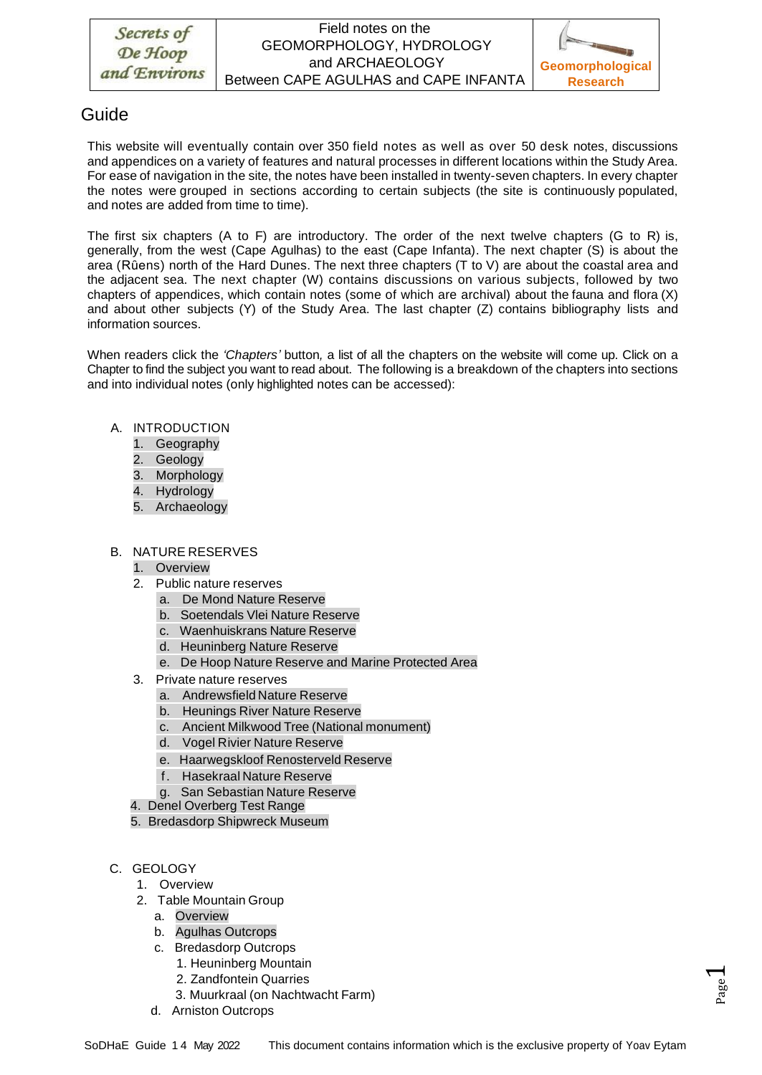# Guide

This website will eventually contain over 350 field notes as well as over 50 desk notes, discussions and appendices on a variety of features and natural processes in different locations within the Study Area. For ease of navigation in the site, the notes have been installed in twenty-seven chapters. In every chapter the notes were grouped in sections according to certain subjects (the site is continuously populated, and notes are added from time to time).

The first six chapters (A to F) are introductory. The order of the next twelve chapters (G to R) is, generally, from the west (Cape Agulhas) to the east (Cape Infanta). The next chapter (S) is about the area (Rûens) north of the Hard Dunes. The next three chapters (T to V) are about the coastal area and the adjacent sea. The next chapter (W) contains discussions on various subjects, followed by two chapters of appendices, which contain notes (some of which are archival) about the fauna and flora (X) and about other subjects (Y) of the Study Area. The last chapter (Z) contains bibliography lists and information sources.

When readers click the *'Chapters'* button*,* a list of all the chapters on the website will come up. Click on a Chapter to find the subject you want to read about. The following is a breakdown of the chapters into sections and into individual notes (only highlighted notes can be accessed):

- A. INTRODUCTION
	- 1. Geography
	- 2. Geology
	- 3. Morphology
	- 4. Hydrology
	- 5. Archaeology

## B. NATURE RESERVES

- 1. Overview
- 2. Public nature reserves
	- a. De Mond Nature Reserve
	- b. Soetendals Vlei Nature Reserve
	- c. Waenhuiskrans Nature Reserve
	- d. Heuninberg Nature Reserve
	- e. De Hoop Nature Reserve and Marine Protected Area
- 3. Private nature reserves
	- a. Andrewsfield Nature Reserve
	- b. Heunings River Nature Reserve
	- c. Ancient Milkwood Tree (National monument)
	- d. Vogel Rivier Nature Reserve
	- e. Haarwegskloof Renosterveld Reserve
	- f. Hasekraal Nature Reserve
	- g. San Sebastian Nature Reserve
- 4. Denel Overberg Test Range
- 5. Bredasdorp Shipwreck Museum
- C. GEOLOGY
	- 1. Overview
	- 2. Table Mountain Group
		- a. Overview
		- b. Agulhas Outcrops
		- c. Bredasdorp Outcrops
			- 1. Heuninberg Mountain
			- 2. Zandfontein Quarries
			- 3. Muurkraal (on Nachtwacht Farm)
		- d. Arniston Outcrops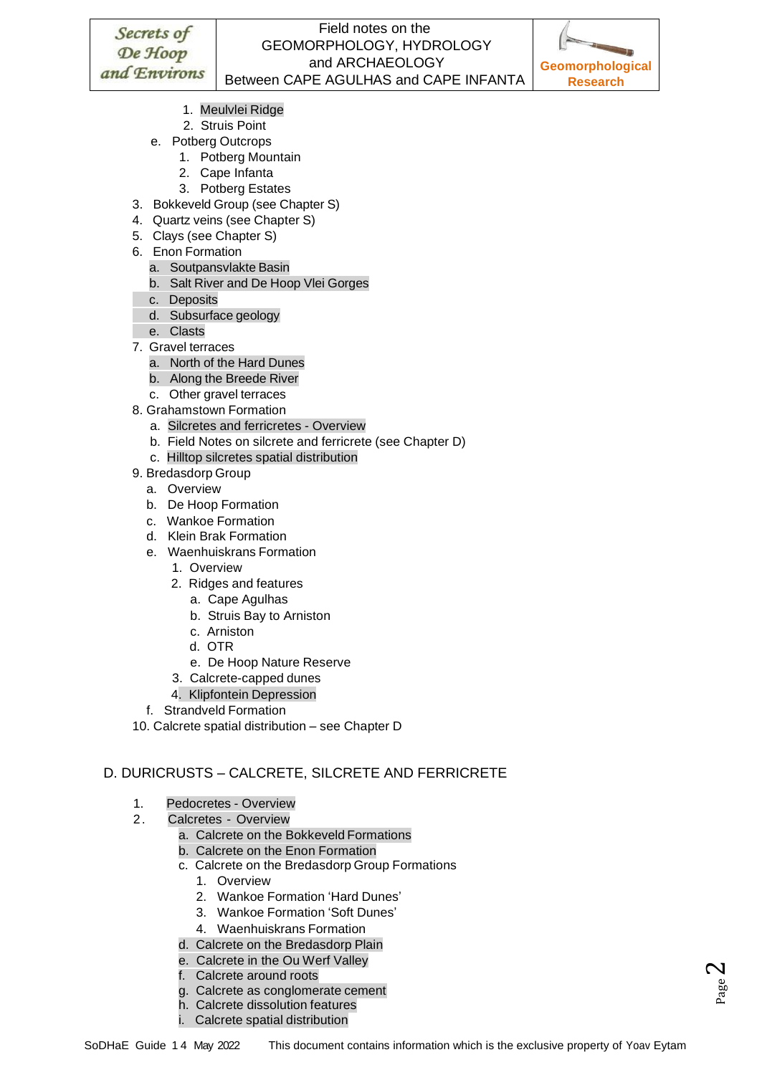

 $_{\tiny{\text{Page}}}$ 2

- 1. Meulvlei Ridge
- 2. Struis Point
- e. Potberg Outcrops
	- 1. Potberg Mountain
	- 2. Cape Infanta
	- 3. Potberg Estates
- 3. Bokkeveld Group (see Chapter S)
- 4. Quartz veins (see Chapter S)
- 5. Clays (see Chapter S)
- 6. Enon Formation
	- a. Soutpansvlakte Basin
	- b. Salt River and De Hoop Vlei Gorges
	- c. Deposits
	- d. Subsurface geology
- e. Clasts
- 7. Gravel terraces
	- a. North of the Hard Dunes
	- b. Along the Breede River
	- c. Other gravel terraces
- 8. Grahamstown Formation
	- a. Silcretes and ferricretes Overview
	- b. Field Notes on silcrete and ferricrete (see Chapter D)
	- c. Hilltop silcretes spatial distribution
- 9. Bredasdorp Group
	- a. Overview
	- b. De Hoop Formation
	- c. Wankoe Formation
	- d. Klein Brak Formation
	- e. Waenhuiskrans Formation
		- 1. Overview
		- 2. Ridges and features
			- a. Cape Agulhas
			- b. Struis Bay to Arniston
			- c. Arniston
			- d. OTR
			- e. De Hoop Nature Reserve
		- 3. Calcrete-capped dunes
		- 4. Klipfontein Depression
	- f. Strandveld Formation
- 10. Calcrete spatial distribution see Chapter D

## D. DURICRUSTS – CALCRETE, SILCRETE AND FERRICRETE

- 1. Pedocretes Overview
- 2. Calcretes Overview
	- a. Calcrete on the Bokkeveld Formations
	- b. Calcrete on the Enon Formation
	- c. Calcrete on the Bredasdorp Group Formations
		- 1. Overview
		- 2. Wankoe Formation 'Hard Dunes'
		- 3. Wankoe Formation 'Soft Dunes'
		- 4. Waenhuiskrans Formation
	- d. Calcrete on the Bredasdorp Plain
	- e. Calcrete in the Ou Werf Valley
	- f. Calcrete around roots
	- g. Calcrete as conglomerate cement
	- h. Calcrete dissolution features
	- i. Calcrete spatial distribution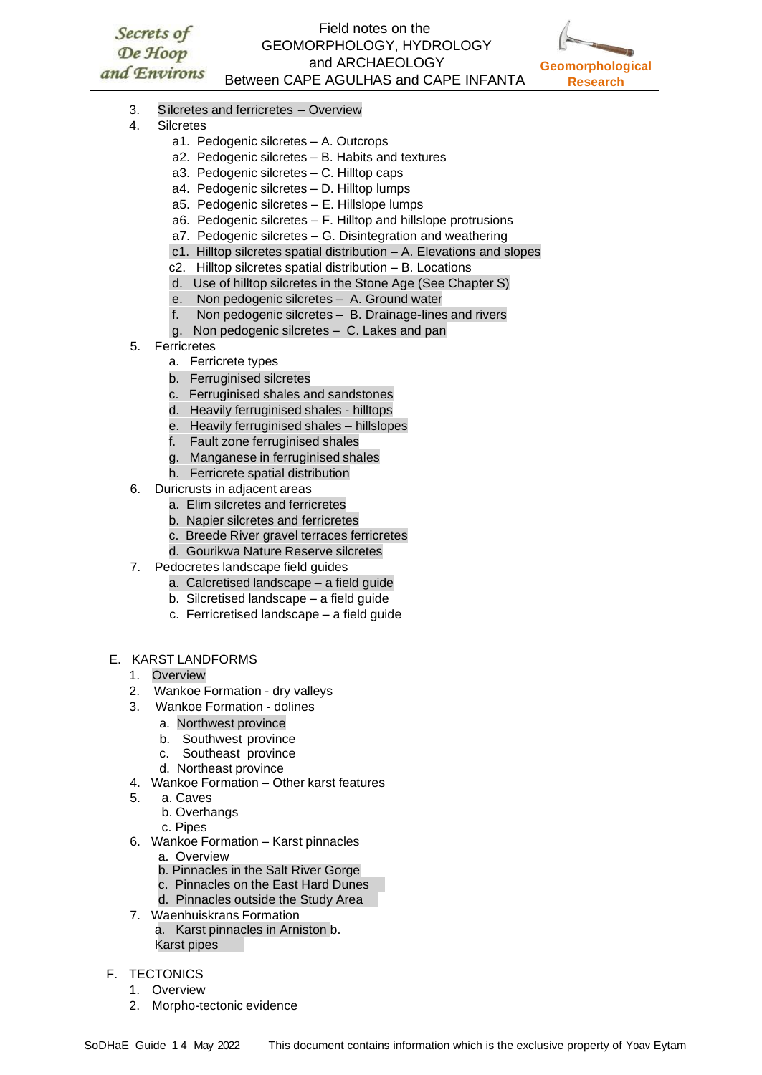

- 3. Silcretes and ferricretes Overview
- 4. Silcretes
	- a1. Pedogenic silcretes A. Outcrops
	- a2. Pedogenic silcretes B. Habits and textures
	- a3. Pedogenic silcretes C. Hilltop caps
	- a4. Pedogenic silcretes D. Hilltop lumps
	- a5. Pedogenic silcretes E. Hillslope lumps
	- a6. Pedogenic silcretes F. Hilltop and hillslope protrusions
	- a7. Pedogenic silcretes G. Disintegration and weathering
	- c1. Hilltop silcretes spatial distribution A. Elevations and slopes
	- c2. Hilltop silcretes spatial distribution B. Locations
	- d. Use of hilltop silcretes in the Stone Age (See Chapter S)
	- e. Non pedogenic silcretes A. Ground water
	- f. Non pedogenic silcretes B. Drainage-lines and rivers
	- g. Non pedogenic silcretes C. Lakes and pan
- 5. Ferricretes
	- a. Ferricrete types
	- b. Ferruginised silcretes
	- c. Ferruginised shales and sandstones
	- d. Heavily ferruginised shales hilltops
	- e. Heavily ferruginised shales hillslopes
	- f. Fault zone ferruginised shales
	- g. Manganese in ferruginised shales
	- h. Ferricrete spatial distribution
- 6. Duricrusts in adjacent areas
	- a. Elim silcretes and ferricretes
	- b. Napier silcretes and ferricretes
	- c. Breede River gravel terraces ferricretes
	- d. Gourikwa Nature Reserve silcretes
- 7. Pedocretes landscape field guides
	- a. Calcretised landscape a field guide
	- b. Silcretised landscape a field guide
	- c. Ferricretised landscape a field guide

#### E. KARST LANDFORMS

- 1. Overview
- 2. Wankoe Formation dry valleys
- 3. Wankoe Formation dolines
	- a. Northwest province
	- b. Southwest province
	- c. Southeast province
	- d. Northeast province
- 4. Wankoe Formation Other karst features
- 5. a. Caves
	- b. Overhangs
	- c. Pipes
- 6. Wankoe Formation Karst pinnacles
	- a. Overview
	- b. Pinnacles in the Salt River Gorge
	- c. Pinnacles on the East Hard Dunes
	- d. Pinnacles outside the Study Area
- 7. Waenhuiskrans Formation
	- a. Karst pinnacles in Arniston b. Karst pipes

#### F. TECTONICS

- 1. Overview
- 2. Morpho-tectonic evidence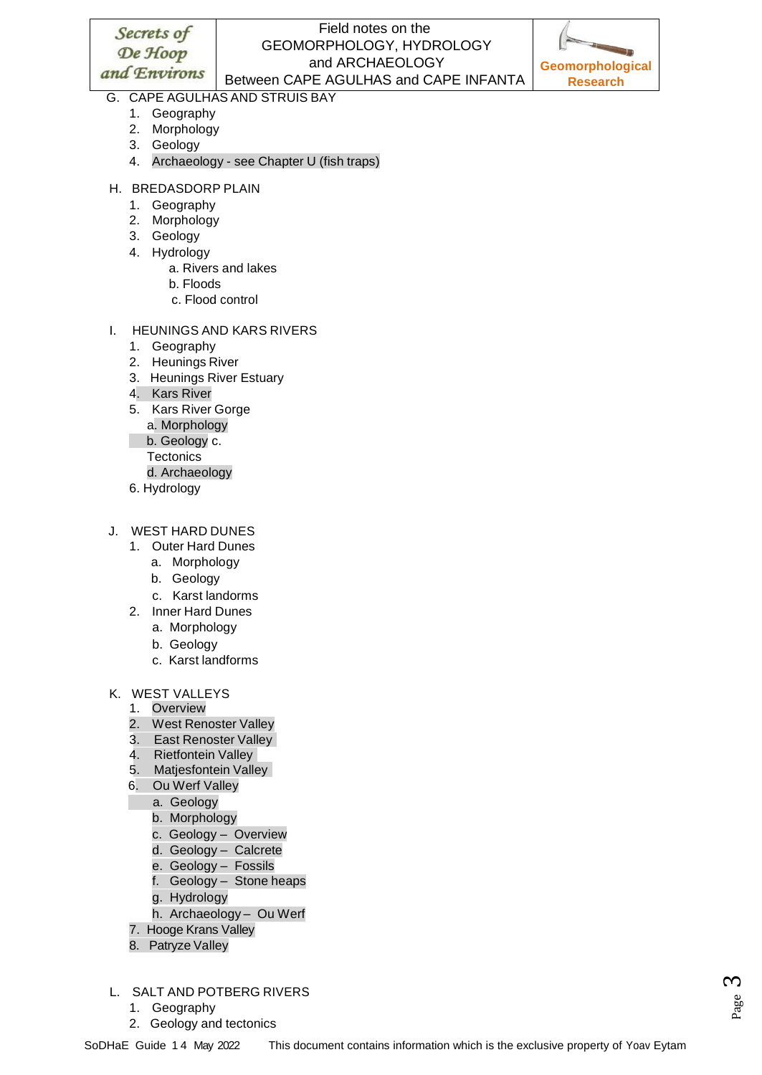## Field notes on the GEOMORPHOLOGY, HYDROLOGY and ARCHAEOLOGY Between CAPE AGULHAS and CAPE INFANTA



## G. CAPE AGULHAS AND STRUIS BAY

- 1. Geography
- 2. Morphology
- 3. Geology
- 4. Archaeology see Chapter U (fish traps)
- H. BREDASDORP PLAIN
	- 1. Geography
	- 2. Morphology
	- 3. Geology
	- 4. Hydrology
		- a. Rivers and lakes
		- b. Floods
		- c. Flood control
- I. HEUNINGS AND KARS RIVERS
	- 1. Geography
	- 2. Heunings River
	- 3. Heunings River Estuary
	- 4. Kars River
	- 5. Kars River Gorge a. Morphology
		- b. Geology c.
		- **Tectonics**
		- d. Archaeology
	- 6. Hydrology
- J. WEST HARD DUNES
	- 1. Outer Hard Dunes
		- a. Morphology
		- b. Geology
		- c. Karst landorms
	- 2. Inner Hard Dunes
		- a. Morphology
		- b. Geology
		- c. Karst landforms
- K. WEST VALLEYS
	- 1. Overview
	- 2. West Renoster Valley
	- 3. East Renoster Valley
	- 4. Rietfontein Valley
	- 5. Matjesfontein Valley
	- 6. Ou Werf Valley
		- a. Geology
			- b. Morphology
			- c. Geology Overview
			- d. Geology Calcrete
			- e. Geology Fossils
			- f. Geology Stone heaps
			- g. Hydrology
			- h. Archaeology Ou Werf
	- 7. Hooge Krans Valley
	- 8. Patryze Valley
- L. SALT AND POTBERG RIVERS
	- 1. Geography
	- 2. Geology and tectonics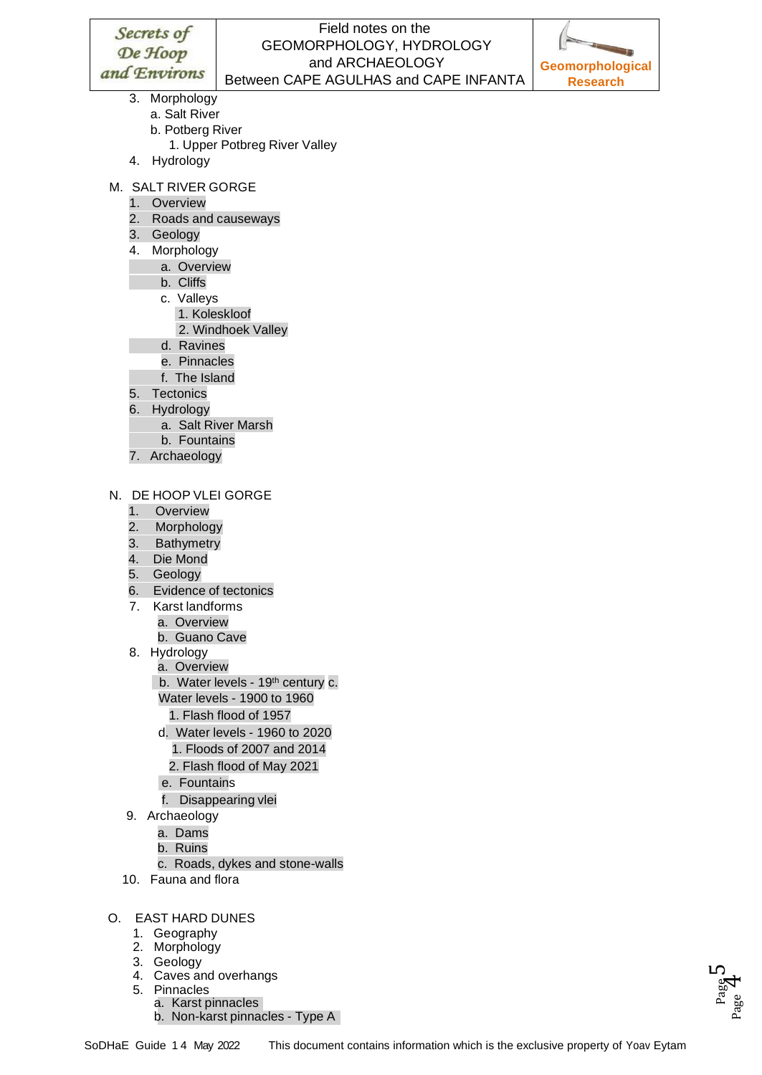

- 3. Morphology
	- a. Salt River
	- b. Potberg River
		- 1. Upper Potbreg River Valley
- 4. Hydrology
- M. SALT RIVER GORGE
	- 1. Overview
	- 2. Roads and causeways
	- 3. Geology
	- 4. Morphology
		- a. Overview
		- b. Cliffs
		- c. Valleys
			- 1. Koleskloof
			- 2. Windhoek Valley
		- d. Ravines
		- e. Pinnacles
		- f. The Island
	- 5. Tectonics
	- 6. Hydrology
		- a. Salt River Marsh
		- b. Fountains
	- 7. Archaeology
- N. DE HOOP VLEI GORGE
	- 1. Overview
	- 2. Morphology
	- 3. Bathymetry
	- 4. Die Mond
	- 5. Geology
	- 6. Evidence of tectonics
	- 7. Karst landforms
		- a. Overview
			- b. Guano Cave
	- 8. Hydrology
		- a. Overview
		- b. Water levels 19<sup>th</sup> century c.
		- Water levels 1900 to 1960
		- 1. Flash flood of 1957
		- d. Water levels 1960 to 2020
			- 1. Floods of 2007 and 2014
			- 2. Flash flood of May 2021
		- e. Fountains
		- f. Disappearing vlei
	- 9. Archaeology
		- a. Dams
		- b. Ruins
		- c. Roads, dykes and stone-walls
	- 10. Fauna and flora
- O. EAST HARD DUNES
	- 1. Geography
	- 2. Morphology
	- 3. Geology
	- 4. Caves and overhangs
	- 5. Pinnacles
		- a. Karst pinnacles
		- b. Non-karst pinnacles Type A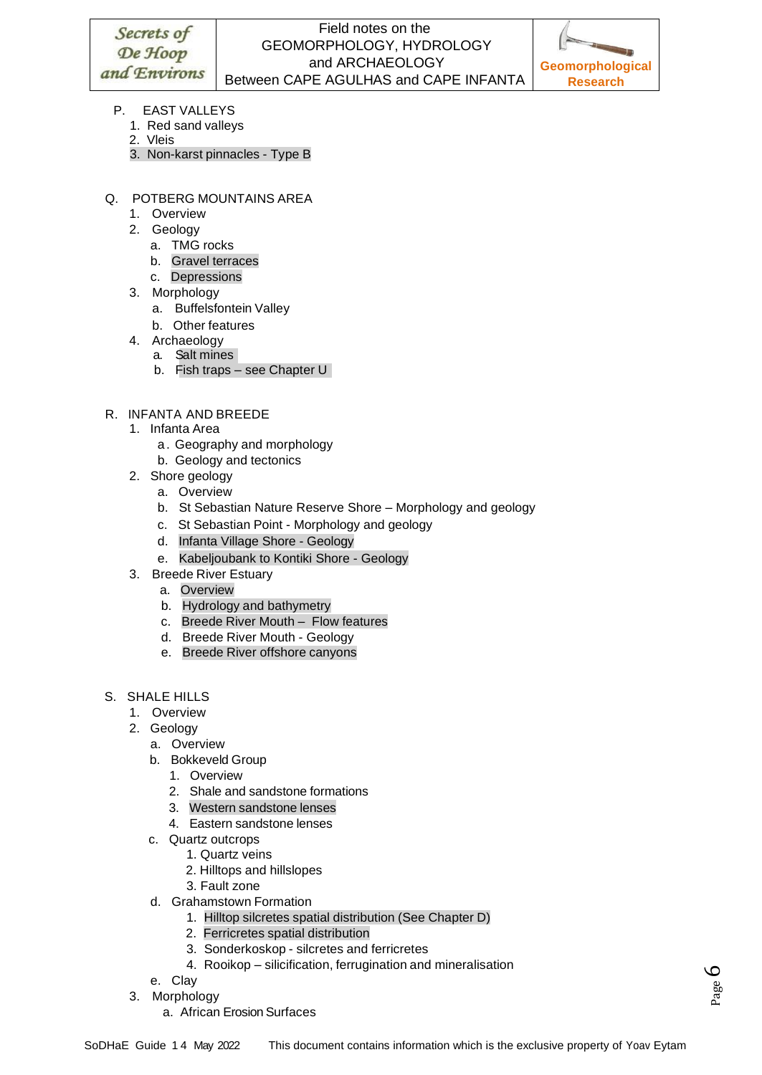

- P. EAST VALLEYS
	- 1. Red sand valleys
	- 2. Vleis
	- 3. Non-karst pinnacles Type B
- Q. POTBERG MOUNTAINS AREA
	- 1. Overview
	- 2. Geology
		- a. TMG rocks
		- b. Gravel terraces
		- c. Depressions
	- 3. Morphology
		- a. Buffelsfontein Valley
		- b. Other features
	- 4. Archaeology
		- a. Salt mines
		- b. Fish traps see Chapter U
- R. INFANTA AND BREEDE
	- 1. Infanta Area
		- a. Geography and morphology
		- b. Geology and tectonics
	- 2. Shore geology
		- a. Overview
		- b. St Sebastian Nature Reserve Shore Morphology and geology
		- c. St Sebastian Point Morphology and geology
		- d. Infanta Village Shore Geology
		- e. Kabeljoubank to Kontiki Shore Geology
	- 3. Breede River Estuary
		- a. Overview
		- b. Hydrology and bathymetry
		- c. Breede River Mouth Flow features
		- d. Breede River Mouth Geology
		- e. Breede River offshore canyons
- S. SHALE HILLS
	- 1. Overview
	- 2. Geology
		- a. Overview
		- b. Bokkeveld Group
			- 1. Overview
			- 2. Shale and sandstone formations
			- 3. Western sandstone lenses
			- 4. Eastern sandstone lenses
		- c. Quartz outcrops
			- 1. Quartz veins
			- 2. Hilltops and hillslopes
			- 3. Fault zone
		- d. Grahamstown Formation
			- 1. Hilltop silcretes spatial distribution (See Chapter D)
			- 2. Ferricretes spatial distribution
			- 3. Sonderkoskop silcretes and ferricretes
			- 4. Rooikop silicification, ferrugination and mineralisation
		- e. Clay
	- 3. Morphology
		- a. African Erosion Surfaces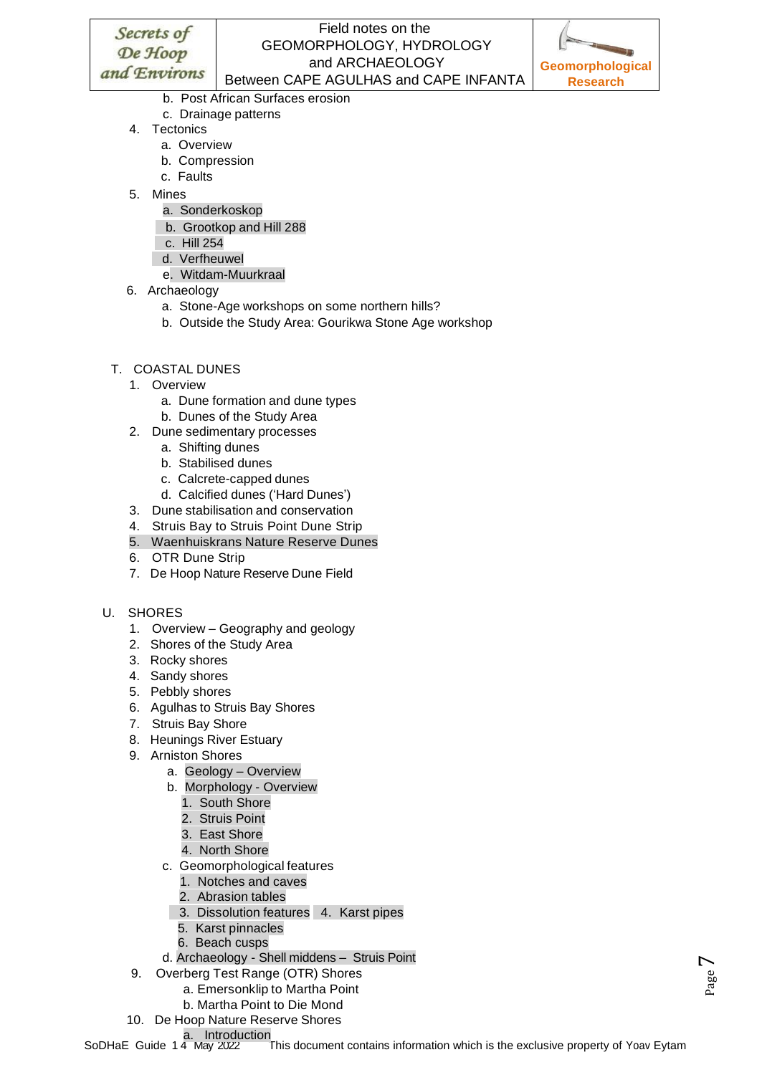## Field notes on the GEOMORPHOLOGY, HYDROLOGY and ARCHAEOLOGY Between CAPE AGULHAS and CAPE INFANTA



V age

- b. Post African Surfaces erosion
- c. Drainage patterns
- 4. Tectonics
	- a. Overview
	- b. Compression
	- c. Faults
- 5. Mines
	- a. Sonderkoskop
	- b. Grootkop and Hill 288
	- c. Hill 254
	- d. Verfheuwel
	- e. Witdam-Muurkraal
- 6. Archaeology
	- a. Stone-Age workshops on some northern hills?
	- b. Outside the Study Area: Gourikwa Stone Age workshop
- T. COASTAL DUNES
	- 1. Overview
		- a. Dune formation and dune types
		- b. Dunes of the Study Area
	- 2. Dune sedimentary processes
		- a. Shifting dunes
		- b. Stabilised dunes
		- c. Calcrete-capped dunes
		- d. Calcified dunes ('Hard Dunes')
	- 3. Dune stabilisation and conservation
	- 4. Struis Bay to Struis Point Dune Strip
	- 5. Waenhuiskrans Nature Reserve Dunes
	- 6. OTR Dune Strip
	- 7. De Hoop Nature Reserve Dune Field
- U. SHORES
	- 1. Overview Geography and geology
	- 2. Shores of the Study Area
	- 3. Rocky shores
	- 4. Sandy shores
	- 5. Pebbly shores
	- 6. Agulhas to Struis Bay Shores
	- 7. Struis Bay Shore
	- 8. Heunings River Estuary
	- 9. Arniston Shores
		- a. Geology Overview
		- b. Morphology Overview
			- 1. South Shore
			- 2. Struis Point
			- 3. East Shore
			- 4. North Shore
		- c. Geomorphological features
			- 1. Notches and caves
			- 2. Abrasion tables
			- 3. Dissolution features 4. Karst pipes
			- 5. Karst pinnacles
			- 6. Beach cusps
		- d. Archaeology Shell middens Struis Point
	- 9. Overberg Test Range (OTR) Shores
		- a. Emersonklip to Martha Point
		- b. Martha Point to Die Mond
	- 10. De Hoop Nature Reserve Shores
		- a. Introduction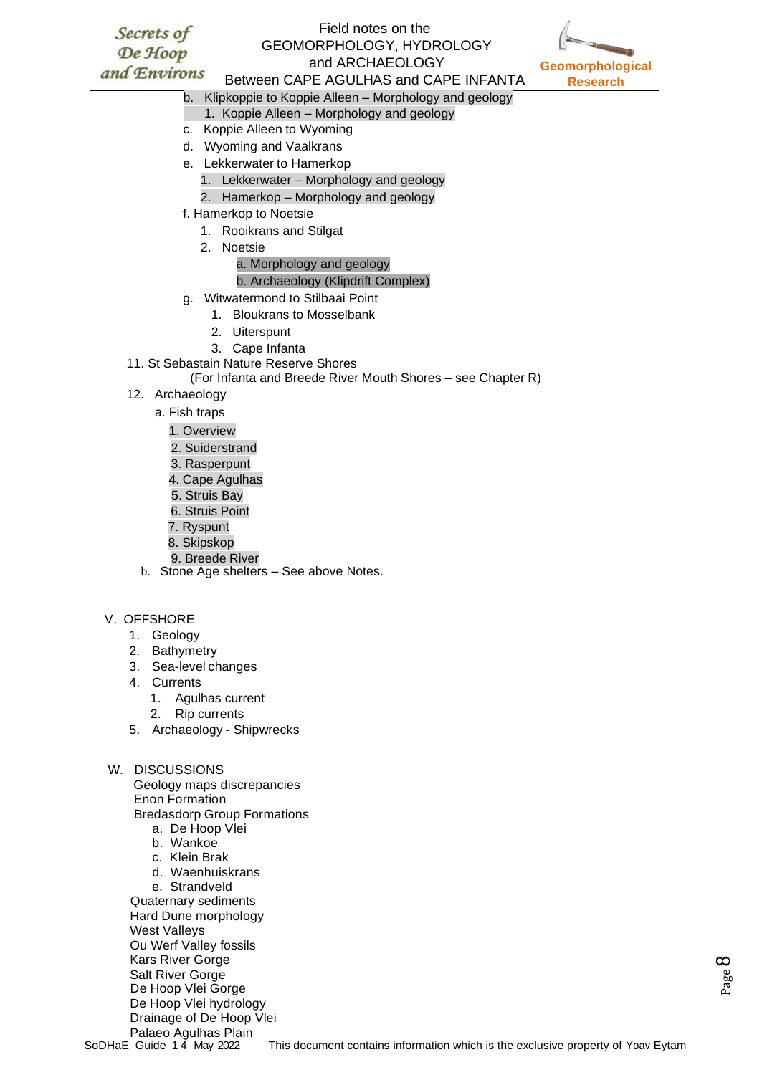## Field notes on the GEOMORPHOLOGY, HYDROLOGY and ARCHAEOLOGY Between CAPE AGULHAS and CAPE INFANTA



b. Klipkoppie to Koppie Alleen – Morphology and geology

- 1. Koppie Alleen Morphology and geology
- c. Koppie Alleen to Wyoming
- d. Wyoming and Vaalkrans
- e. Lekkerwater to Hamerkop
	- 1. Lekkerwater Morphology and geology
	- 2. Hamerkop Morphology and geology
- f. Hamerkop to Noetsie
	- 1. Rooikrans and Stilgat
	- 2. Noetsie

#### a. Morphology and geology

#### b. Archaeology (Klipdrift Complex)

- g. Witwatermond to Stilbaai Point
	- 1. Bloukrans to Mosselbank
	- 2. Uiterspunt
	- 3. Cape Infanta
- 11. St Sebastain Nature Reserve Shores
	- (For Infanta and Breede River Mouth Shores see Chapter R)
- 12. Archaeology
	- a. Fish traps
		- 1. Overview
		- 2. Suiderstrand
		- 3. Rasperpunt
		- 4. Cape Agulhas
		- 5. Struis Bay
		- 6. Struis Point
		- 7. Ryspunt
		- 8. Skipskop
		- 9. Breede River
	- b. Stone Age shelters See above Notes.

#### V. OFFSHORE

- 1. Geology
- 2. Bathymetry
- 3. Sea-level changes
- 4. Currents
	- 1. Agulhas current
	- 2. Rip currents
- 5. Archaeology Shipwrecks

#### W. DISCUSSIONS

Geology maps discrepancies Enon Formation

Bredasdorp Group Formations

- a. De Hoop Vlei
- b. Wankoe
- c. Klein Brak
- d. Waenhuiskrans
- e. Strandveld

 Quaternary sediments Hard Dune morphology West Valleys Ou Werf Valley fossils Kars River Gorge Salt River Gorge De Hoop Vlei Gorge De Hoop Vlei hydrology Drainage of De Hoop Vlei Palaeo Agulhas Plain